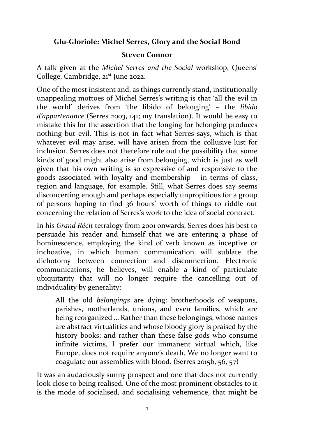## **Glu-Gloriole: Michel Serres, Glory and the Social Bond**

## **Steven Connor**

A talk given at the *Michel Serres and the Social* workshop, Queens' College, Cambridge, 21<sup>st</sup> June 2022.

One of the most insistent and, as things currently stand, institutionally unappealing mottoes of Michel Serres's writing is that 'all the evil in the world' derives from 'the libido of belonging' – the *libido d'appartenance* (Serres 2003, 141; my translation). It would be easy to mistake this for the assertion that the longing for belonging produces nothing but evil. This is not in fact what Serres says, which is that whatever evil may arise, will have arisen from the collusive lust for inclusion. Serres does not therefore rule out the possibility that some kinds of good might also arise from belonging, which is just as well given that his own writing is so expressive of and responsive to the goods associated with loyalty and membership – in terms of class, region and language, for example. Still, what Serres does say seems disconcerting enough and perhaps especially unpropitious for a group of persons hoping to find 36 hours' worth of things to riddle out concerning the relation of Serres's work to the idea of social contract.

In his *Grand Récit* tetralogy from 2001 onwards, Serres does his best to persuade his reader and himself that we are entering a phase of hominescence, employing the kind of verb known as inceptive or inchoative, in which human communication will sublate the dichotomy between connection and disconnection. Electronic communications, he believes, will enable a kind of particulate ubiquitarity that will no longer require the cancelling out of individuality by generality:

All the old *belongings* are dying: brotherhoods of weapons, parishes, motherlands, unions, and even families, which are being reorganized … Rather than these belongings, whose names are abstract virtualities and whose bloody glory is praised by the history books; and rather than these false gods who consume infinite victims, I prefer our immanent virtual which, like Europe, does not require anyone's death. We no longer want to coagulate our assemblies with blood. (Serres 2015b, 56, 57)

It was an audaciously sunny prospect and one that does not currently look close to being realised. One of the most prominent obstacles to it is the mode of socialised, and socialising vehemence, that might be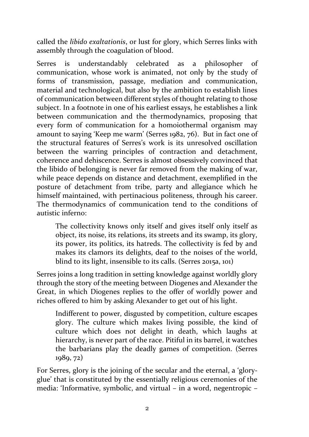called the *libido exaltationis*, or lust for glory, which Serres links with assembly through the coagulation of blood.

Serres is understandably celebrated as a philosopher of communication, whose work is animated, not only by the study of forms of transmission, passage, mediation and communication, material and technological, but also by the ambition to establish lines of communication between different styles of thought relating to those subject. In a footnote in one of his earliest essays, he establishes a link between communication and the thermodynamics, proposing that every form of communication for a homoiothermal organism may amount to saying 'Keep me warm' (Serres 1982, 76). But in fact one of the structural features of Serres's work is its unresolved oscillation between the warring principles of contraction and detachment, coherence and dehiscence. Serres is almost obsessively convinced that the libido of belonging is never far removed from the making of war, while peace depends on distance and detachment, exemplified in the posture of detachment from tribe, party and allegiance which he himself maintained, with pertinacious politeness, through his career. The thermodynamics of communication tend to the conditions of autistic inferno:

The collectivity knows only itself and gives itself only itself as object, its noise, its relations, its streets and its swamp, its glory, its power, its politics, its hatreds. The collectivity is fed by and makes its clamors its delights, deaf to the noises of the world, blind to its light, insensible to its calls. (Serres 2015a, 101)

Serres joins a long tradition in setting knowledge against worldly glory through the story of the meeting between Diogenes and Alexander the Great, in which Diogenes replies to the offer of worldly power and riches offered to him by asking Alexander to get out of his light.

Indifferent to power, disgusted by competition, culture escapes glory. The culture which makes living possible, the kind of culture which does not delight in death, which laughs at hierarchy, is never part of the race. Pitiful in its barrel, it watches the barbarians play the deadly games of competition. (Serres 1989, 72)

For Serres, glory is the joining of the secular and the eternal, a 'gloryglue' that is constituted by the essentially religious ceremonies of the media: 'Informative, symbolic, and virtual – in a word, negentropic –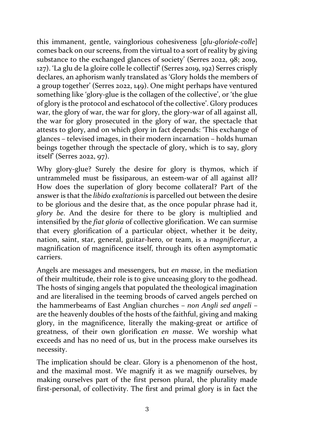this immanent, gentle, vainglorious cohesiveness [*glu-gloriole-colle*] comes back on our screens, from the virtual to a sort of reality by giving substance to the exchanged glances of society' (Serres 2022, 98; 2019, 127). 'La glu de la gloire colle le collectif' (Serres 2019, 192) Serres crisply declares, an aphorism wanly translated as 'Glory holds the members of a group together' (Serres 2022, 149). One might perhaps have ventured something like 'glory-glue is the collagen of the collective', or 'the glue of glory is the protocol and eschatocol of the collective'. Glory produces war, the glory of war, the war for glory, the glory-war of all against all, the war for glory prosecuted in the glory of war, the spectacle that attests to glory, and on which glory in fact depends: 'This exchange of glances – televised images, in their modern incarnation – holds human beings together through the spectacle of glory, which is to say, glory itself' (Serres 2022, 97).

Why glory-glue? Surely the desire for glory is thymos, which if untrammeled must be fissiparous, an esteem-war of all against all? How does the superlation of glory become collateral? Part of the answer is that the *libido exaltationis* is parcelled out between the desire to be glorious and the desire that, as the once popular phrase had it, *glory be*. And the desire for there to be glory is multiplied and intensified by the *fiat gloria* of collective glorification. We can surmise that every glorification of a particular object, whether it be deity, nation, saint, star, general, guitar-hero, or team, is a *magnificetur*, a magnification of magnificence itself, through its often asymptomatic carriers.

Angels are messages and messengers, but *en masse*, in the mediation of their multitude, their role is to give unceasing glory to the godhead. The hosts of singing angels that populated the theological imagination and are literalised in the teeming broods of carved angels perched on the hammerbeams of East Anglian churches – *non Angli sed angeli* – are the heavenly doubles of the hosts of the faithful, giving and making glory, in the magnificence, literally the making-great or artifice of greatness, of their own glorification *en masse*. We worship what exceeds and has no need of us, but in the process make ourselves its necessity.

The implication should be clear. Glory is a phenomenon of the host, and the maximal most. We magnify it as we magnify ourselves, by making ourselves part of the first person plural, the plurality made first-personal, of collectivity. The first and primal glory is in fact the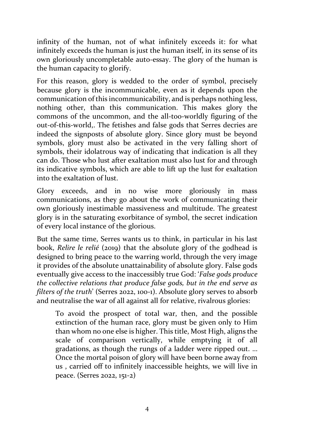infinity of the human, not of what infinitely exceeds it: for what infinitely exceeds the human is just the human itself, in its sense of its own gloriously uncompletable auto-essay. The glory of the human is the human capacity to glorify.

For this reason, glory is wedded to the order of symbol, precisely because glory is the incommunicable, even as it depends upon the communication of this incommunicability, and is perhaps nothing less, nothing other, than this communication. This makes glory the commons of the uncommon, and the all-too-worldly figuring of the out-of-this-world,. The fetishes and false gods that Serres decries are indeed the signposts of absolute glory. Since glory must be beyond symbols, glory must also be activated in the very falling short of symbols, their idolatrous way of indicating that indication is all they can do. Those who lust after exaltation must also lust for and through its indicative symbols, which are able to lift up the lust for exaltation into the exaltation of lust.

Glory exceeds, and in no wise more gloriously in mass communications, as they go about the work of communicating their own gloriously inestimable massiveness and multitude. The greatest glory is in the saturating exorbitance of symbol, the secret indication of every local instance of the glorious.

But the same time, Serres wants us to think, in particular in his last book, *Relire le relié* (2019) that the absolute glory of the godhead is designed to bring peace to the warring world, through the very image it provides of the absolute unattainability of absolute glory. False gods eventually give access to the inaccessibly true God: '*False gods produce the collective relations that produce false gods, but in the end serve as filters of the truth*' (Serres 2022, 100-1). Absolute glory serves to absorb and neutralise the war of all against all for relative, rivalrous glories:

To avoid the prospect of total war, then, and the possible extinction of the human race, glory must be given only to Him than whom no one else is higher. This title, Most High, aligns the scale of comparison vertically, while emptying it of all gradations, as though the rungs of a ladder were ripped out. … Once the mortal poison of glory will have been borne away from us , carried off to infinitely inaccessible heights, we will live in peace. (Serres 2022, 151-2)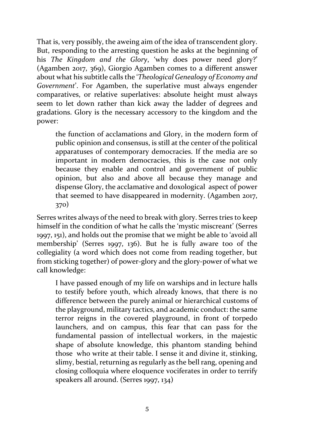That is, very possibly, the aweing aim of the idea of transcendent glory. But, responding to the arresting question he asks at the beginning of his *The Kingdom and the Glory*, 'why does power need glory?' (Agamben 2017, 369), Giorgio Agamben comes to a different answer about what his subtitle calls the '*Theological Genealogy of Economy and Government*'. For Agamben, the superlative must always engender comparatives, or relative superlatives: absolute height must always seem to let down rather than kick away the ladder of degrees and gradations. Glory is the necessary accessory to the kingdom and the power:

the function of acclamations and Glory, in the modern form of public opinion and consensus, is still at the center of the political apparatuses of contemporary democracies. If the media are so important in modern democracies, this is the case not only because they enable and control and government of public opinion, but also and above all because they manage and dispense Glory, the acclamative and doxological aspect of power that seemed to have disappeared in modernity. (Agamben 2017, 370)

Serres writes always of the need to break with glory. Serres tries to keep himself in the condition of what he calls the 'mystic miscreant' (Serres 1997, 151), and holds out the promise that we might be able to 'avoid all membership' (Serres 1997, 136). But he is fully aware too of the collegiality (a word which does not come from reading together, but from sticking together) of power-glory and the glory-power of what we call knowledge:

I have passed enough of my life on warships and in lecture halls to testify before youth, which already knows, that there is no difference between the purely animal or hierarchical customs of the playground, military tactics, and academic conduct: the same terror reigns in the covered playground, in front of torpedo launchers, and on campus, this fear that can pass for the fundamental passion of intellectual workers, in the majestic shape of absolute knowledge, this phantom standing behind those who write at their table. I sense it and divine it, stinking, slimy, bestial, returning as regularly as the bell rang, opening and closing colloquia where eloquence vociferates in order to terrify speakers all around. (Serres 1997, 134)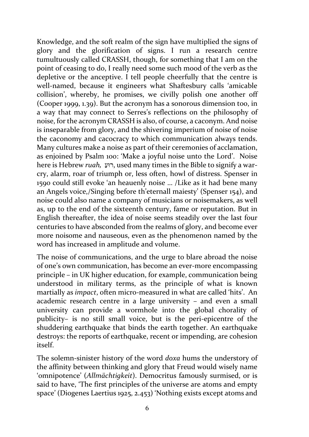Knowledge, and the soft realm of the sign have multiplied the signs of glory and the glorification of signs. I run a research centre tumultuously called CRASSH, though, for something that I am on the point of ceasing to do, I really need some such mood of the verb as the depletive or the anceptive. I tell people cheerfully that the centre is well-named, because it engineers what Shaftesbury calls 'amicable collision', whereby, he promises, we civilly polish one another off (Cooper 1999, 1.39). But the acronym has a sonorous dimension too, in a way that may connect to Serres's reflections on the philosophy of noise, for the acronym CRASSH is also, of course, a caconym. And noise is inseparable from glory, and the shivering imperium of noise of noise the caconomy and cacocracy to which communication always tends. Many cultures make a noise as part of their ceremonies of acclamation, as enjoined by Psalm 100: 'Make a joyful noise unto the Lord'. Noise here is Hebrew *ruah,* ַ ועּר, used many times in the Bible to signify a warcry, alarm, roar of triumph or, less often, howl of distress. Spenser in 1590 could still evoke 'an heauenly noise … /Like as it had bene many an Angels voice,/Singing before th'eternall maiesty' (Spenser 154), and noise could also name a company of musicians or noisemakers, as well as, up to the end of the sixteenth century, fame or reputation. But in English thereafter, the idea of noise seems steadily over the last four centuries to have absconded from the realms of glory, and become ever more noisome and nauseous, even as the phenomenon named by the word has increased in amplitude and volume.

The noise of communications, and the urge to blare abroad the noise of one's own communication, has become an ever-more encompassing principle – in UK higher education, for example, communication being understood in military terms, as the principle of what is known martially as *impact*, often micro-measured in what are called 'hits'. An academic research centre in a large university – and even a small university can provide a wormhole into the global chorality of publicity– is no still small voice, but is the peri-epicentre of the shuddering earthquake that binds the earth together. An earthquake destroys: the reports of earthquake, recent or impending, are cohesion itself.

The solemn-sinister history of the word *doxa* hums the understory of the affinity between thinking and glory that Freud would wisely name 'omnipotence' (*Allmächtigkeit*). Democritus famously surmised, or is said to have, 'The first principles of the universe are atoms and empty space' (Diogenes Laertius 1925, 2.453) 'Nothing exists except atoms and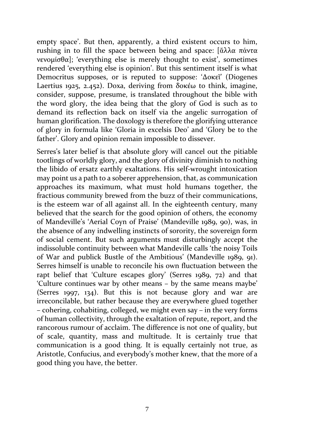empty space'. But then, apparently, a third existent occurs to him, rushing in to fill the space between being and space: [ἄλλα πάντα νενομίσθα]; 'everything else is merely thought to exist', sometimes rendered 'everything else is opinion'. But this sentiment itself is what Democritus supposes, or is reputed to suppose: 'Δοκεῖ' (Diogenes Laertius 1925, 2.452). Doxa, deriving from δοκέω to think, imagine, consider, suppose, presume, is translated throughout the bible with the word glory, the idea being that the glory of God is such as to demand its reflection back on itself via the angelic surrogation of human glorification. The doxology is therefore the glorifying utterance of glory in formula like 'Gloria in excelsis Deo' and 'Glory be to the father'. Glory and opinion remain impossible to dissever.

Serres's later belief is that absolute glory will cancel out the pitiable tootlings of worldly glory, and the glory of divinity diminish to nothing the libido of ersatz earthly exaltations. His self-wrought intoxication may point us a path to a soberer apprehension, that, as communication approaches its maximum, what must hold humans together, the fractious community brewed from the buzz of their communications, is the esteem war of all against all. In the eighteenth century, many believed that the search for the good opinion of others, the economy of Mandeville's 'Aerial Coyn of Praise' (Mandeville 1989, 90), was, in the absence of any indwelling instincts of sorority, the sovereign form of social cement. But such arguments must disturbingly accept the indissoluble continuity between what Mandeville calls 'the noisy Toils of War and publick Bustle of the Ambitious' (Mandeville 1989, 91). Serres himself is unable to reconcile his own fluctuation between the rapt belief that 'Culture escapes glory' (Serres 1989, 72) and that 'Culture continues war by other means – by the same means maybe' (Serres 1997, 134). But this is not because glory and war are irreconcilable, but rather because they are everywhere glued together – cohering, cohabiting, colleged, we might even say – in the very forms of human collectivity, through the exaltation of repute, report, and the rancorous rumour of acclaim. The difference is not one of quality, but of scale, quantity, mass and multitude. It is certainly true that communication is a good thing. It is equally certainly not true, as Aristotle, Confucius, and everybody's mother knew, that the more of a good thing you have, the better.